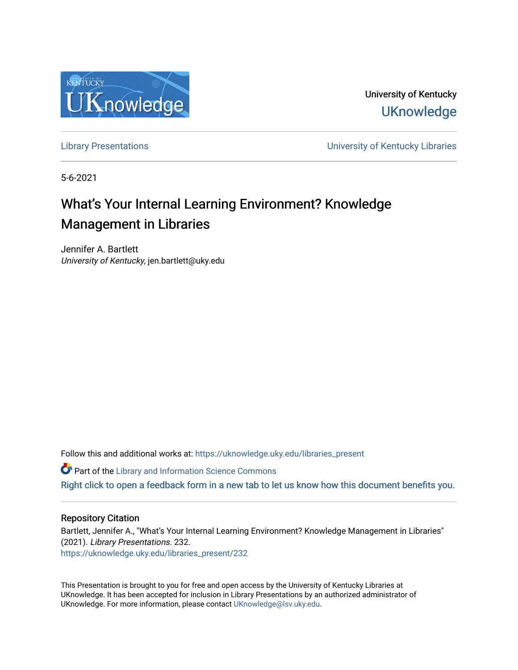

University of Kentucky **UKnowledge** 

[Library Presentations](https://uknowledge.uky.edu/libraries_present) [University of Kentucky Libraries](https://uknowledge.uky.edu/libraries) 

5-6-2021

#### What's Your Internal Learning Environment? Knowledge Management in Libraries

Jennifer A. Bartlett University of Kentucky, jen.bartlett@uky.edu

Follow this and additional works at: [https://uknowledge.uky.edu/libraries\\_present](https://uknowledge.uky.edu/libraries_present?utm_source=uknowledge.uky.edu%2Flibraries_present%2F232&utm_medium=PDF&utm_campaign=PDFCoverPages) 

**Part of the Library and Information Science Commons** 

[Right click to open a feedback form in a new tab to let us know how this document benefits you.](https://uky.az1.qualtrics.com/jfe/form/SV_9mq8fx2GnONRfz7)

#### Repository Citation

Bartlett, Jennifer A., "What's Your Internal Learning Environment? Knowledge Management in Libraries" (2021). Library Presentations. 232. [https://uknowledge.uky.edu/libraries\\_present/232](https://uknowledge.uky.edu/libraries_present/232?utm_source=uknowledge.uky.edu%2Flibraries_present%2F232&utm_medium=PDF&utm_campaign=PDFCoverPages) 

This Presentation is brought to you for free and open access by the University of Kentucky Libraries at UKnowledge. It has been accepted for inclusion in Library Presentations by an authorized administrator of UKnowledge. For more information, please contact [UKnowledge@lsv.uky.edu](mailto:UKnowledge@lsv.uky.edu).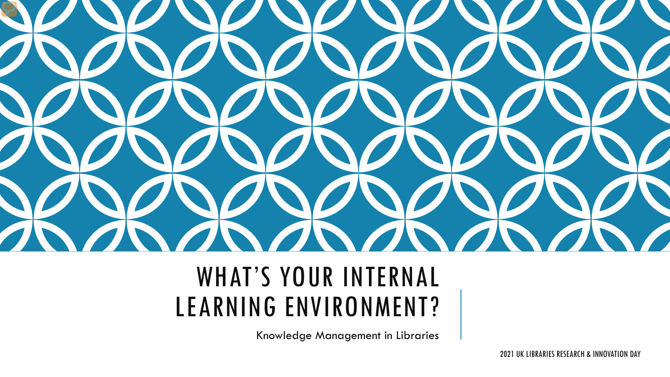

#### WHAT'S YOUR INTERNAL LEARNING ENVIRONMENT?

Knowledge Management in Libraries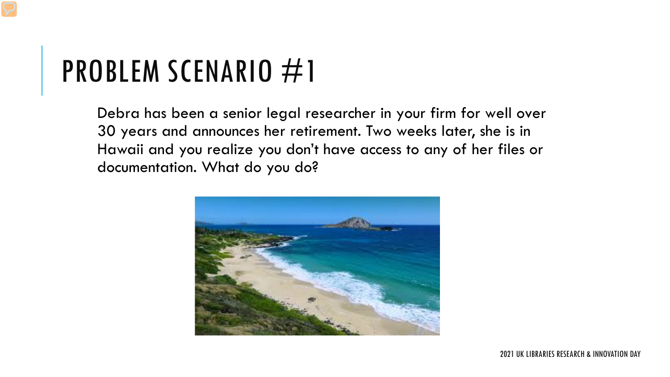Debra has been a senior legal researcher in your firm for well over 30 years and announces her retirement. Two weeks later, she is in Hawaii and you realize you don't have access to any of her files or documentation. What do you do?

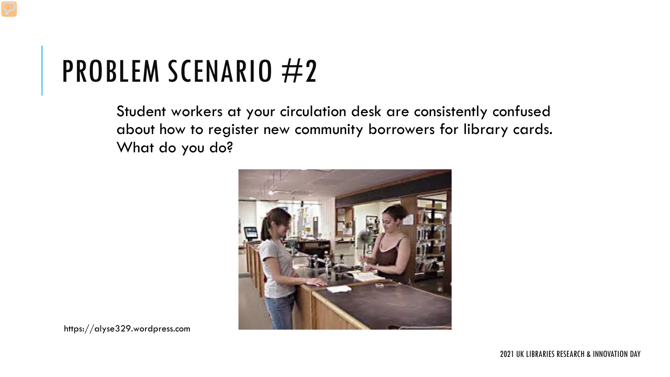Student workers at your circulation desk are consistently confused about how to register new community borrowers for library cards. What do you do?



https://alyse329.wordpress.com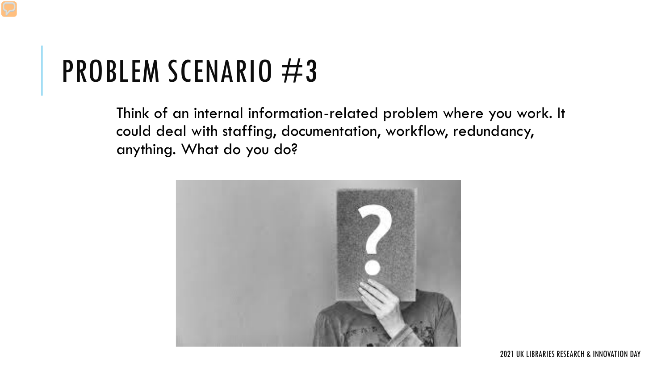Think of an internal information-related problem where you work. It could deal with staffing, documentation, workflow, redundancy, anything. What do you do?

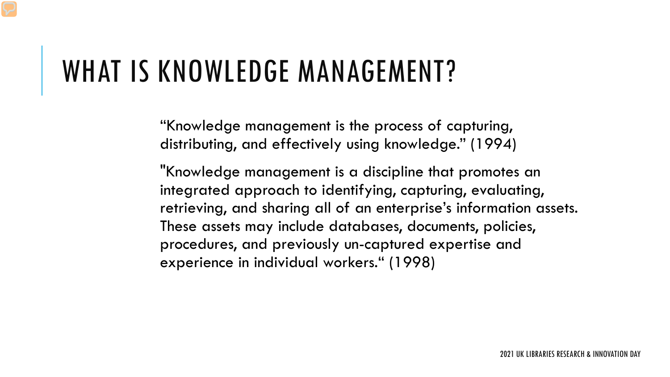#### WHAT IS KNOWLEDGE MANAGEMENT?

"Knowledge management is the process of capturing, distributing, and effectively using knowledge." (1994)

"Knowledge management is a discipline that promotes an integrated approach to identifying, capturing, evaluating, retrieving, and sharing all of an enterprise's information assets. These assets may include databases, documents, policies, procedures, and previously un-captured expertise and experience in individual workers." (1998)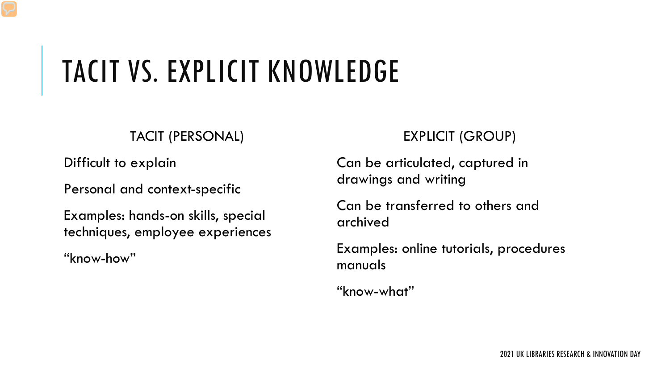# TACIT VS. EXPLICIT KNOWLEDGE

#### TACIT (PERSONAL)

Difficult to explain

Personal and context-specific

Examples: hands-on skills, special techniques, employee experiences

"know-how"

#### EXPLICIT (GROUP)

Can be articulated, captured in drawings and writing

Can be transferred to others and archived

Examples: online tutorials, procedures manuals

"know-what"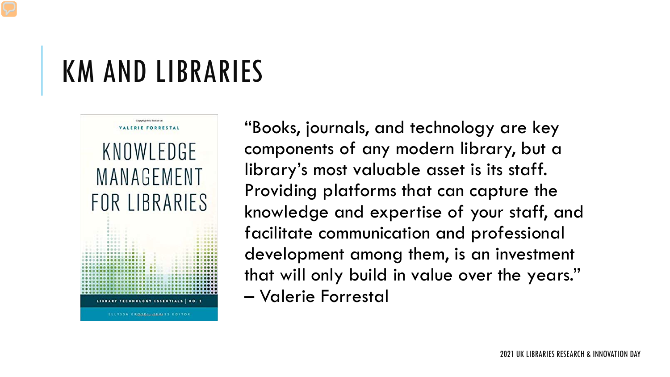#### KM AND LIBRARIES



ELLYSSA KROSKI SERIES EDITOR

"Books, journals, and technology are key components of any modern library, but a library's most valuable asset is its staff. Providing platforms that can capture the knowledge and expertise of your staff, and facilitate communication and professional development among them, is an investment that will only build in value over the years." – Valerie Forrestal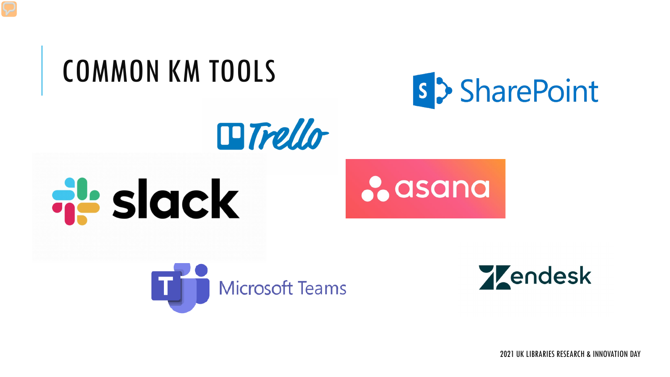## COMMON KM TOOLS



*<u>o* asana</u>









2021 UK LIBRARIES RESEARCH & INNOVATION DAY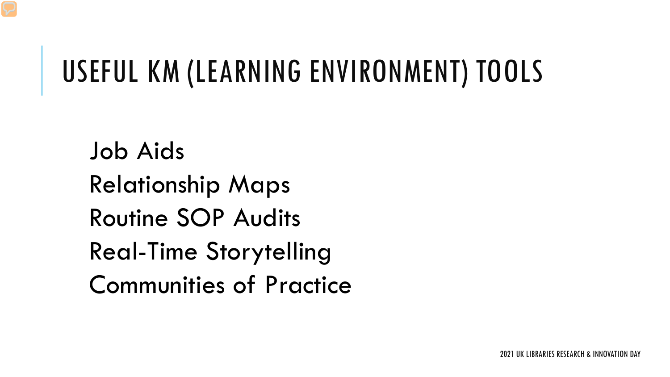#### USEFUL KM (LEARNING ENVIRONMENT) TOOLS

Job Aids Relationship Maps Routine SOP Audits Real-Time Storytelling Communities of Practice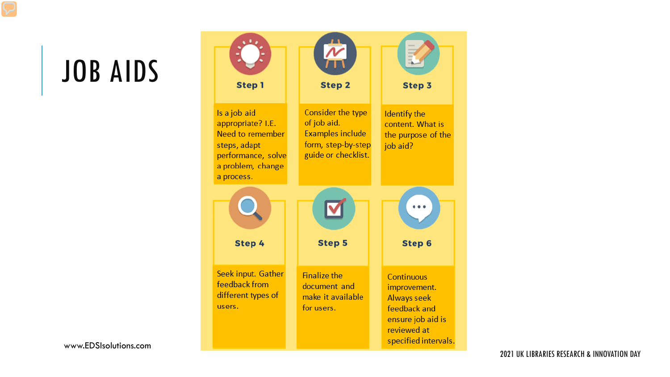## JOB AIDS

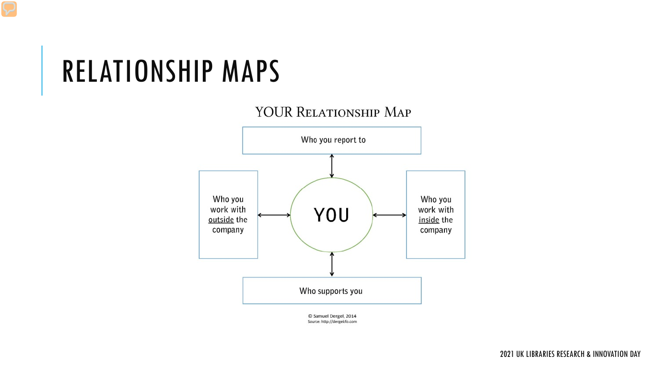#### RELATIONSHIP MAPS

#### YOUR RELATIONSHIP MAP



C Samuel Dergel, 2014 Source: http://dergelcfo.com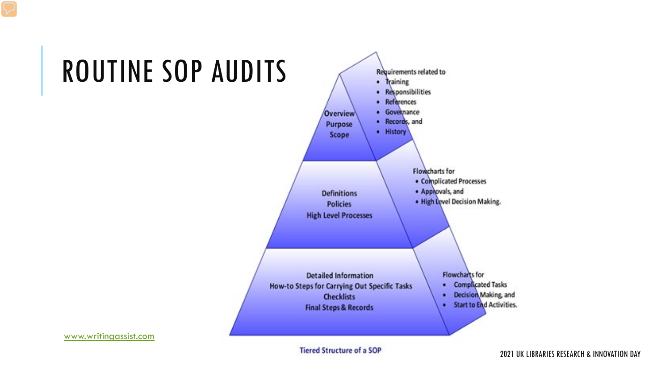### ROUTINE SOP AUDITS



[www.writingassist.com](http://www.writingassist.com/)

**Tiered Structure of a SOP**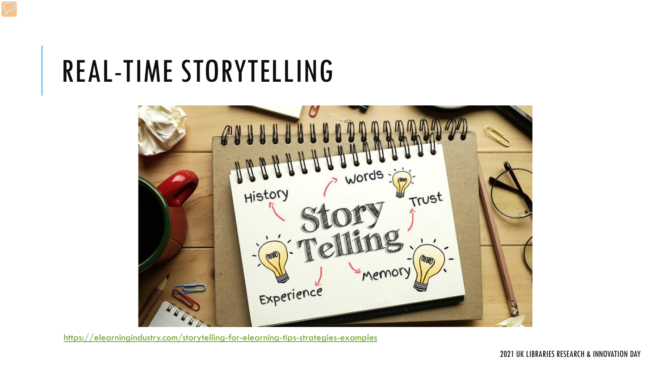#### REAL-TIME STORYTELLING



<https://elearningindustry.com/storytelling-for-elearning-tips-strategies-examples>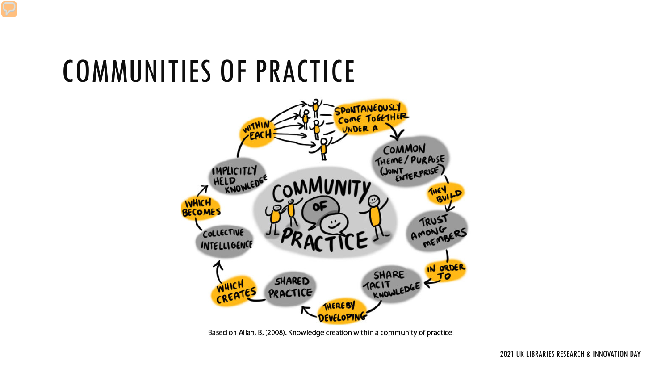### COMMUNITIES OF PRACTICE



Based on Allan, B. (2008). Knowledge creation within a community of practice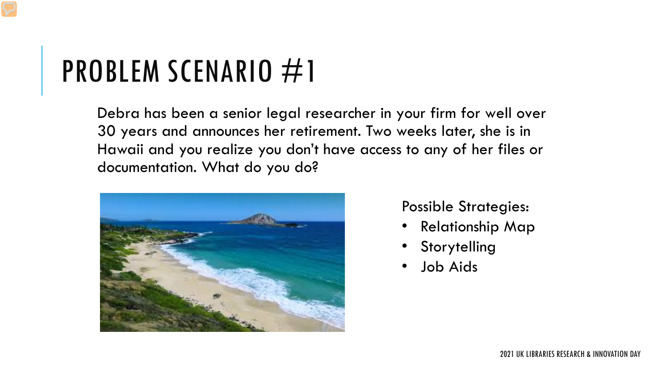Debra has been a senior legal researcher in your firm for well over 30 years and announces her retirement. Two weeks later, she is in Hawaii and you realize you don't have access to any of her files or documentation. What do you do?



Possible Strategies:

- Relationship Map
- **Storytelling**
- Job Aids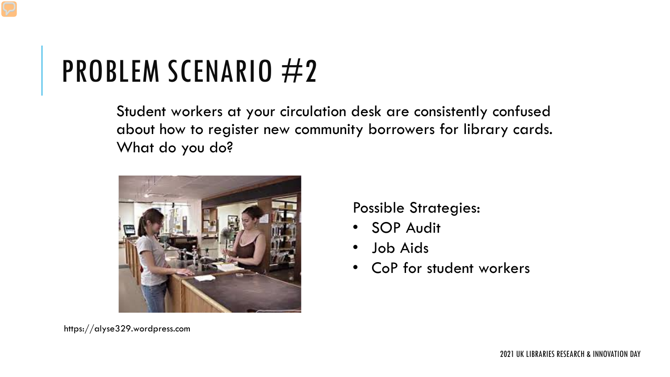Student workers at your circulation desk are consistently confused about how to register new community borrowers for library cards. What do you do?



https://alyse329.wordpress.com

#### Possible Strategies:

- SOP Audit
- Job Aids
- CoP for student workers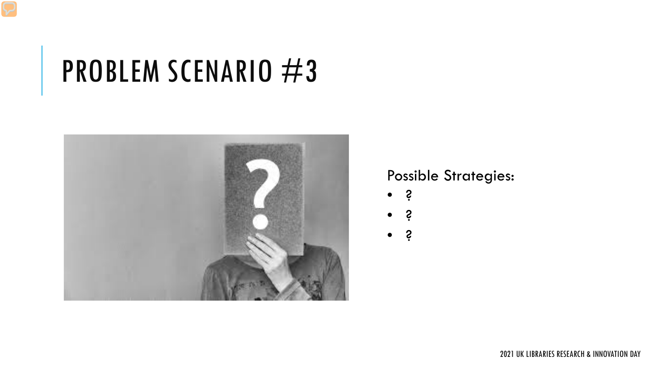

#### Possible Strategies:

- ?
- ?
- ?